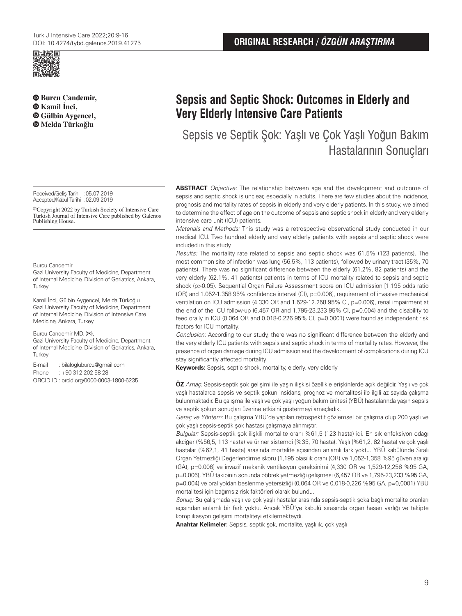

**Burcu Candemir, Kamil İnci, Gülbin Aygencel, Melda Türkoğlu**

Received/Geliş Tarihi :05.07.2019 Accepted/Kabul Tarihi : 02.09.2019

©Copyright 2022 by Turkish Society of Intensive Care Turkish Journal of Intensive Care published by Galenos Publishing House.

#### Burcu Candemir

Gazi University Faculty of Medicine, Department of Internal Medicine, Division of Geriatrics, Ankara, **Turkey** 

Kamil İnci, Gülbin Aygencel, Melda Türkoğlu Gazi University Faculty of Medicine, Department of Internal Medicine, Division of Intensive Care Medicine, Ankara, Turkey

#### Burcu Candemir MD, (**✉**),

Gazi University Faculty of Medicine, Department of Internal Medicine, Division of Geriatrics, Ankara, **Turkey** 

E-mail : bilalogluburcu@gmail.com

Phone : +90 312 202 58 28

ORCID ID : orcid.org/0000-0003-1800-6235

# **Sepsis and Septic Shock: Outcomes in Elderly and Very Elderly Intensive Care Patients**

Sepsis ve Septik Şok: Yaşlı ve Çok Yaşlı Yoğun Bakım Hastalarının Sonuçları

**ABSTRACT** Objective: The relationship between age and the development and outcome of sepsis and septic shock is unclear, especially in adults. There are few studies about the incidence, prognosis and mortality rates of sepsis in elderly and very elderly patients. In this study, we aimed to determine the effect of age on the outcome of sepsis and septic shock in elderly and very elderly intensive care unit (ICU) patients.

Materials and Methods: This study was a retrospective observational study conducted in our medical ICU. Two hundred elderly and very elderly patients with sepsis and septic shock were included in this study.

Results: The mortality rate related to sepsis and septic shock was 61.5% (123 patients). The most common site of infection was lung (56.5%, 113 patients), followed by urinary tract (35%, 70 patients). There was no significant difference between the elderly (61.2%, 82 patients) and the very elderly (62.1%, 41 patients) patients in terms of ICU mortality related to sepsis and septic shock (p>0.05). Sequential Organ Failure Assessment score on ICU admission [1.195 odds ratio (OR) and 1.052-1.358 95% confidence interval (CI), p=0.006], requirement of invasive mechanical ventilation on ICU admission (4.330 OR and 1.529-12.258 95% CI, p=0.006), renal impairment at the end of the ICU follow-up (6.457 OR and 1.795-23.233 95% CI,  $p=0.004$ ) and the disability to feed orally in ICU (0.064 OR and 0.018-0.226 95% CI, p=0.0001) were found as independent risk factors for ICU mortality.

Conclusion: According to our study, there was no significant difference between the elderly and the very elderly ICU patients with sepsis and septic shock in terms of mortality rates. However, the presence of organ damage during ICU admission and the development of complications during ICU stay significantly affected mortality.

**Keywords:** Sepsis, septic shock, mortality, elderly, very elderly

**ÖZ** Amaç: Sepsis-septik şok gelişimi ile yaşın ilişkisi özellikle erişkinlerde açık değildir. Yaşlı ve çok yaşlı hastalarda sepsis ve septik şokun insidans, prognoz ve mortalitesi ile ilgili az sayıda çalışma bulunmaktadır. Bu çalışma ile yaşlı ve çok yaşlı yoğun bakım ünitesi (YBÜ) hastalarında yaşın sepsis ve septik şokun sonuçları üzerine etkisini göstermeyi amaçladık.

Gereç ve Yöntem: Bu çalışma YBÜ'de yapılan retrospektif gözlemsel bir çalışma olup 200 yaşlı ve çok yaşlı sepsis-septik şok hastası çalışmaya alınmıştır.

Bulgular: Sepsis-septik şok ilişkili mortalite oranı %61,5 (123 hasta) idi. En sık enfeksiyon odağı akciğer (%56,5, 113 hasta) ve üriner sistemdi (%35, 70 hasta). Yaşlı (%61,2, 82 hasta) ve çok yaşlı hastalar (%62,1, 41 hasta) arasında mortalite açısından anlamlı fark yoktu. YBÜ kabülünde Sıralı Organ Yetmezliği Değerlendirme skoru [1,195 olasılık oranı (OR) ve 1,052-1,358 %95 güven aralığı (GA), p=0,006] ve invazif mekanik ventilasyon gereksinimi (4,330 OR ve 1,529-12,258 %95 GA, p=0,006), YBÜ takibinin sonunda böbrek yetmezliği gelişmesi (6,457 OR ve 1,795-23,233 %95 GA, p=0,004) ve oral yoldan beslenme yetersizliği (0,064 OR ve 0,018-0,226 %95 GA, p=0,0001) YBÜ mortalitesi için bağımsız risk faktörleri olarak bulundu.

Sonuç: Bu çalışmada yaşlı ve çok yaşlı hastalar arasında sepsis-septik şoka bağlı mortalite oranları açısından anlamlı bir fark yoktu. Ancak YBÜ'ye kabulü sırasında organ hasarı varlığı ve takipte komplikasyon gelişimi mortaliteyi etkilemekteydi.

**Anahtar Kelimeler:** Sepsis, septik şok, mortalite, yaşlılık, çok yaşlı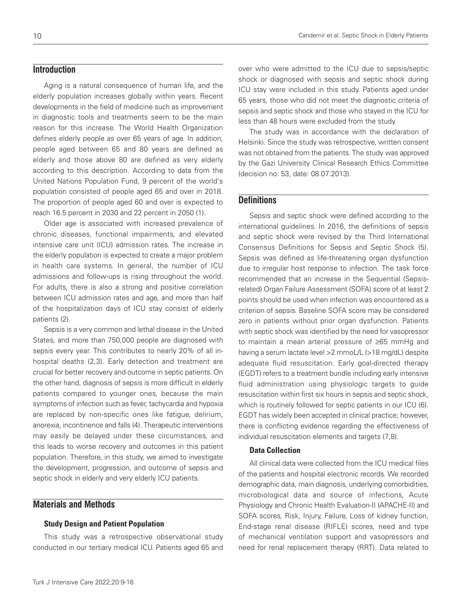## **Introduction**

Aging is a natural consequence of human life, and the elderly population increases globally within years. Recent developments in the field of medicine such as improvement in diagnostic tools and treatments seem to be the main reason for this increase. The World Health Organization defines elderly people as over 65 years of age. In addition, people aged between 65 and 80 years are defined as elderly and those above 80 are defined as very elderly according to this description. According to data from the United Nations Population Fund, 9 percent of the world's population consisted of people aged 65 and over in 2018. The proportion of people aged 60 and over is expected to reach 16.5 percent in 2030 and 22 percent in 2050 (1).

Older age is associated with increased prevalence of chronic diseases, functional impairments, and elevated intensive care unit (ICU) admission rates. The increase in the elderly population is expected to create a major problem in health care systems. In general, the number of ICU admissions and follow-ups is rising throughout the world. For adults, there is also a strong and positive correlation between ICU admission rates and age, and more than half of the hospitalization days of ICU stay consist of elderly patients (2).

Sepsis is a very common and lethal disease in the United States, and more than 750,000 people are diagnosed with sepsis every year. This contributes to nearly 20% of all inhospital deaths (2,3). Early detection and treatment are crucial for better recovery and outcome in septic patients. On the other hand, diagnosis of sepsis is more difficult in elderly patients compared to younger ones, because the main symptoms of infection such as fever, tachycardia and hypoxia are replaced by non-specific ones like fatigue, delirium, anorexia, incontinence and falls (4). Therapeutic interventions may easily be delayed under these circumstances, and this leads to worse recovery and outcomes in this patient population. Therefore, in this study, we aimed to investigate the development, progression, and outcome of sepsis and septic shock in elderly and very elderly ICU patients.

# **Materials and Methods**

## Study Design and Patient Population

This study was a retrospective observational study conducted in our tertiary medical ICU. Patients aged 65 and

over who were admitted to the ICU due to sepsis/septic shock or diagnosed with sepsis and septic shock during ICU stay were included in this study. Patients aged under 65 years, those who did not meet the diagnostic criteria of sepsis and septic shock and those who stayed in the ICU for less than 48 hours were excluded from the study.

The study was in accordance with the declaration of Helsinki. Since the study was retrospective, written consent was not obtained from the patients. The study was approved by the Gazi University Clinical Research Ethics Committee (decision no: 53, date: 08.07.2013).

## **Definitions**

Sepsis and septic shock were defined according to the international guidelines. In 2016, the definitions of sepsis and septic shock were revised by the Third International Consensus Definitions for Sepsis and Septic Shock (5). Sepsis was defined as life-threatening organ dysfunction due to irregular host response to infection. The task force recommended that an increase in the Sequential (Sepsisrelated) Organ Failure Assessment (SOFA) score of at least 2 points should be used when infection was encountered as a criterion of sepsis. Baseline SOFA score may be considered zero in patients without prior organ dysfunction. Patients with septic shock was identified by the need for vasopressor to maintain a mean arterial pressure of ≥65 mmHg and having a serum lactate level >2 mmoL/L (>18 mg/dL) despite adequate fluid resuscitation. Early goal-directed therapy (EGDT) refers to a treatment bundle including early intensive fluid administration using physiologic targets to guide resuscitation within first six hours in sepsis and septic shock, which is routinely followed for septic patients in our ICU (6). EGDT has widely been accepted in clinical practice; however, there is conflicting evidence regarding the effectiveness of individual resuscitation elements and targets (7,8).

#### Data Collection

All clinical data were collected from the ICU medical files of the patients and hospital electronic records. We recorded demographic data, main diagnosis, underlying comorbidities, microbiological data and source of infections, Acute Physiology and Chronic Health Evaluation-II (APACHE-II) and SOFA scores, Risk, Injury, Failure, Loss of kidney function, End-stage renal disease (RIFLE) scores, need and type of mechanical ventilation support and vasopressors and need for renal replacement therapy (RRT). Data related to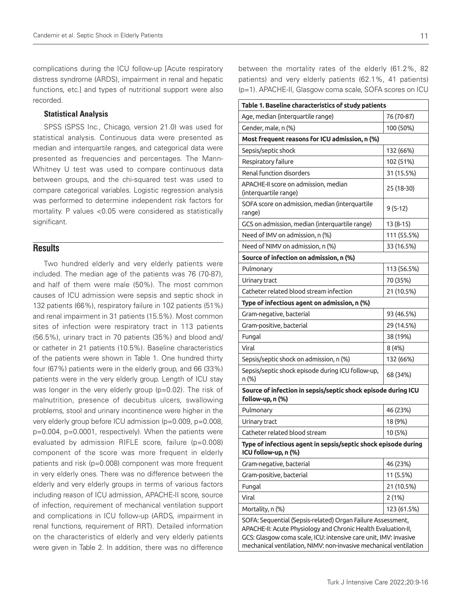complications during the ICU follow-up [Acute respiratory distress syndrome (ARDS), impairment in renal and hepatic functions, etc.] and types of nutritional support were also recorded.

## Statistical Analysis

SPSS (SPSS Inc., Chicago, version 21.0) was used for statistical analysis. Continuous data were presented as median and interquartile ranges, and categorical data were presented as frequencies and percentages. The Mann-Whitney U test was used to compare continuous data between groups, and the chi-squared test was used to compare categorical variables. Logistic regression analysis was performed to determine independent risk factors for mortality. P values <0.05 were considered as statistically significant.

## **Results**

Two hundred elderly and very elderly patients were included. The median age of the patients was 76 (70-87), and half of them were male (50%). The most common causes of ICU admission were sepsis and septic shock in 132 patients (66%), respiratory failure in 102 patients (51%) and renal impairment in 31 patients (15.5%). Most common sites of infection were respiratory tract in 113 patients (56.5%), urinary tract in 70 patients (35%) and blood and/ or catheter in 21 patients (10.5%). Baseline characteristics of the patients were shown in Table 1. One hundred thirty four (67%) patients were in the elderly group, and 66 (33%) patients were in the very elderly group. Length of ICU stay was longer in the very elderly group (p=0.02). The risk of malnutrition, presence of decubitus ulcers, swallowing problems, stool and urinary incontinence were higher in the very elderly group before ICU admission (p=0.009, p=0.008, p=0.004, p=0.0001, respectively). When the patients were evaluated by admission RIFLE score, failure (p=0.008) component of the score was more frequent in elderly patients and risk (p=0.008) component was more frequent in very elderly ones. There was no difference between the elderly and very elderly groups in terms of various factors including reason of ICU admission, APACHE-II score, source of infection, requirement of mechanical ventilation support and complications in ICU follow-up (ARDS, impairment in renal functions, requirement of RRT). Detailed information on the characteristics of elderly and very elderly patients were given in Table 2. In addition, there was no difference

between the mortality rates of the elderly (61.2%, 82 patients) and very elderly patients (62.1%, 41 patients) (p=1). APACHE-II, Glasgow coma scale, SOFA scores on ICU

| Table 1. Baseline characteristics of study patients                                                                                                                                                                                                                   |             |  |
|-----------------------------------------------------------------------------------------------------------------------------------------------------------------------------------------------------------------------------------------------------------------------|-------------|--|
| Age, median (interquartile range)                                                                                                                                                                                                                                     | 76 (70-87)  |  |
| Gender, male, n (%)                                                                                                                                                                                                                                                   | 100 (50%)   |  |
| Most frequent reasons for ICU admission, n (%)                                                                                                                                                                                                                        |             |  |
| Sepsis/septic shock                                                                                                                                                                                                                                                   | 132 (66%)   |  |
| Respiratory failure                                                                                                                                                                                                                                                   | 102 (51%)   |  |
| Renal function disorders                                                                                                                                                                                                                                              | 31 (15.5%)  |  |
| APACHE-II score on admission, median<br>(interquartile range)                                                                                                                                                                                                         | 25 (18-30)  |  |
| SOFA score on admission, median (interquartile<br>range)                                                                                                                                                                                                              | $9(5-12)$   |  |
| GCS on admission, median (interquartile range)                                                                                                                                                                                                                        | $13(8-15)$  |  |
| Need of IMV on admission, n (%)                                                                                                                                                                                                                                       | 111 (55.5%) |  |
| Need of NIMV on admission, n (%)                                                                                                                                                                                                                                      | 33 (16.5%)  |  |
| Source of infection on admission, n (%)                                                                                                                                                                                                                               |             |  |
| Pulmonary                                                                                                                                                                                                                                                             | 113 (56.5%) |  |
| Urinary tract                                                                                                                                                                                                                                                         | 70 (35%)    |  |
| Catheter related blood stream infection                                                                                                                                                                                                                               | 21 (10.5%)  |  |
| Type of infectious agent on admission, n (%)                                                                                                                                                                                                                          |             |  |
| Gram-negative, bacterial                                                                                                                                                                                                                                              | 93 (46.5%)  |  |
| Gram-positive, bacterial                                                                                                                                                                                                                                              | 29 (14.5%)  |  |
| Fungal                                                                                                                                                                                                                                                                | 38 (19%)    |  |
| Viral                                                                                                                                                                                                                                                                 | 8(4%)       |  |
| Sepsis/septic shock on admission, n (%)                                                                                                                                                                                                                               | 132 (66%)   |  |
| Sepsis/septic shock episode during ICU follow-up,<br>n (%)                                                                                                                                                                                                            | 68 (34%)    |  |
| Source of infection in sepsis/septic shock episode during ICU<br>follow-up, n (%)                                                                                                                                                                                     |             |  |
| Pulmonary                                                                                                                                                                                                                                                             | 46 (23%)    |  |
| Urinary tract                                                                                                                                                                                                                                                         | 18 (9%)     |  |
| Catheter related blood stream                                                                                                                                                                                                                                         | 10 (5%)     |  |
| Type of infectious agent in sepsis/septic shock episode during<br>ICU follow-up, n (%)                                                                                                                                                                                |             |  |
| Gram-negative, bacterial                                                                                                                                                                                                                                              | 46 (23%)    |  |
| Gram-positive, bacterial                                                                                                                                                                                                                                              | 11 (5.5%)   |  |
| Fungal                                                                                                                                                                                                                                                                | 21 (10.5%)  |  |
| Viral                                                                                                                                                                                                                                                                 | 2(1%)       |  |
| Mortality, n (%)                                                                                                                                                                                                                                                      | 123 (61.5%) |  |
| SOFA: Sequential (Sepsis-related) Organ Failure Assessment,<br>APACHE-II: Acute Physiology and Chronic Health Evaluation-II,<br>GCS: Glasgow coma scale, ICU: intensive care unit, IMV: invasive<br>mechanical ventilation, NIMV: non-invasive mechanical ventilation |             |  |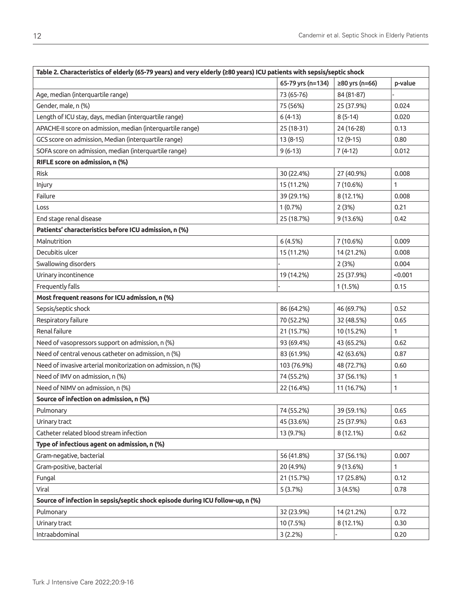| Table 2. Characteristics of elderly (65-79 years) and very elderly (280 years) ICU patients with sepsis/septic shock |                   |                |              |
|----------------------------------------------------------------------------------------------------------------------|-------------------|----------------|--------------|
|                                                                                                                      | 65-79 yrs (n=134) | ≥80 yrs (n=66) | p-value      |
| Age, median (interquartile range)                                                                                    | 73 (65-76)        | 84 (81-87)     |              |
| Gender, male, n (%)                                                                                                  | 75 (56%)          | 25 (37.9%)     | 0.024        |
| Length of ICU stay, days, median (interquartile range)                                                               | $6(4-13)$         | $8(5-14)$      | 0.020        |
| APACHE-II score on admission, median (interquartile range)                                                           | 25 (18-31)        | 24 (16-28)     | 0.13         |
| GCS score on admission, Median (interquartile range)                                                                 | 13 (8-15)         | 12 (9-15)      | 0.80         |
| SOFA score on admission, median (interquartile range)                                                                | $9(6-13)$         | $7(4-12)$      | 0.012        |
| RIFLE score on admission, n (%)                                                                                      |                   |                |              |
| <b>Risk</b>                                                                                                          | 30 (22.4%)        | 27 (40.9%)     | 0.008        |
| Injury                                                                                                               | 15 (11.2%)        | 7 (10.6%)      | 1            |
| Failure                                                                                                              | 39 (29.1%)        | 8 (12.1%)      | 0.008        |
| Loss                                                                                                                 | 1(0.7%)           | 2(3%)          | 0.21         |
| End stage renal disease                                                                                              | 25 (18.7%)        | 9(13.6%)       | 0.42         |
| Patients' characteristics before ICU admission, n (%)                                                                |                   |                |              |
| Malnutrition                                                                                                         | 6(4.5%)           | 7 (10.6%)      | 0.009        |
| Decubitis ulcer                                                                                                      | 15 (11.2%)        | 14 (21.2%)     | 0.008        |
| Swallowing disorders                                                                                                 |                   | 2(3%)          | 0.004        |
| Urinary incontinence                                                                                                 | 19 (14.2%)        | 25 (37.9%)     | < 0.001      |
| Frequently falls                                                                                                     |                   | 1(1.5%)        | 0.15         |
| Most frequent reasons for ICU admission, n (%)                                                                       |                   |                |              |
| Sepsis/septic shock                                                                                                  | 86 (64.2%)        | 46 (69.7%)     | 0.52         |
| Respiratory failure                                                                                                  | 70 (52.2%)        | 32 (48.5%)     | 0.65         |
| Renal failure                                                                                                        | 21 (15.7%)        | 10 (15.2%)     | 1            |
| Need of vasopressors support on admission, n (%)                                                                     | 93 (69.4%)        | 43 (65.2%)     | 0.62         |
| Need of central venous catheter on admission, n (%)                                                                  | 83 (61.9%)        | 42 (63.6%)     | 0.87         |
| Need of invasive arterial monitorization on admission, n (%)                                                         | 103 (76.9%)       | 48 (72.7%)     | 0.60         |
| Need of IMV on admission, n (%)                                                                                      | 74 (55.2%)        | 37 (56.1%)     | 1            |
| Need of NIMV on admission, n (%)                                                                                     | 22 (16.4%)        | 11 (16.7%)     | $\mathbf{1}$ |
| Source of infection on admission, n (%)                                                                              |                   |                |              |
| Pulmonary                                                                                                            | 74 (55.2%)        | 39 (59.1%)     | 0.65         |
| Urinary tract                                                                                                        | 45 (33.6%)        | 25 (37.9%)     | 0.63         |
| Catheter related blood stream infection                                                                              | 13 (9.7%)         | 8 (12.1%)      | 0.62         |
| Type of infectious agent on admission, n (%)                                                                         |                   |                |              |
| Gram-negative, bacterial                                                                                             | 56 (41.8%)        | 37 (56.1%)     | 0.007        |
| Gram-positive, bacterial                                                                                             | 20 (4.9%)         | 9(13.6%)       | 1            |
| Fungal                                                                                                               | 21 (15.7%)        | 17 (25.8%)     | 0.12         |
| Viral                                                                                                                | 5(3.7%)           | 3(4.5%)        | 0.78         |
| Source of infection in sepsis/septic shock episode during ICU follow-up, n (%)                                       |                   |                |              |
| Pulmonary                                                                                                            | 32 (23.9%)        | 14 (21.2%)     | 0.72         |
| Urinary tract                                                                                                        | 10 (7.5%)         | 8 (12.1%)      | 0.30         |
| Intraabdominal                                                                                                       | 3(2.2%)           |                | 0.20         |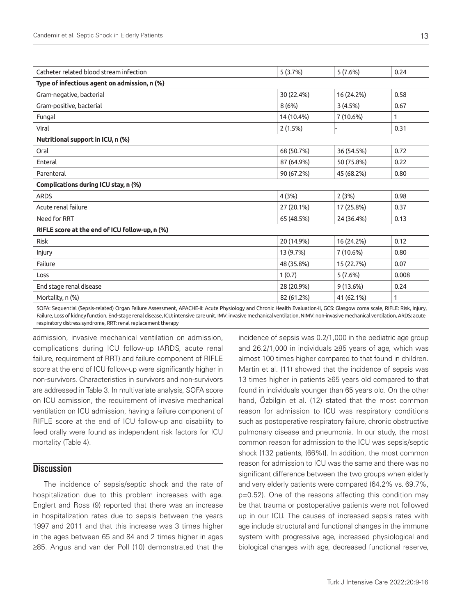| Catheter related blood stream infection        | 5(3.7%)    | 5(7.6%)    | 0.24  |
|------------------------------------------------|------------|------------|-------|
| Type of infectious agent on admission, n (%)   |            |            |       |
| Gram-negative, bacterial                       | 30 (22.4%) | 16 (24.2%) | 0.58  |
| Gram-positive, bacterial                       | 8 (6%)     | 3(4.5%)    | 0.67  |
| Fungal                                         | 14 (10.4%) | 7 (10.6%)  | 1     |
| Viral                                          | 2(1.5%)    |            | 0.31  |
| Nutritional support in ICU, n (%)              |            |            |       |
| Oral                                           | 68 (50.7%) | 36 (54.5%) | 0.72  |
| Enteral                                        | 87 (64.9%) | 50 (75.8%) | 0.22  |
| Parenteral                                     | 90 (67.2%) | 45 (68.2%) | 0.80  |
| Complications during ICU stay, n (%)           |            |            |       |
| <b>ARDS</b>                                    | 4(3%)      | 2(3%)      | 0.98  |
| Acute renal failure                            | 27 (20.1%) | 17 (25.8%) | 0.37  |
| Need for RRT                                   | 65 (48.5%) | 24 (36.4%) | 0.13  |
| RIFLE score at the end of ICU follow-up, n (%) |            |            |       |
| <b>Risk</b>                                    | 20 (14.9%) | 16 (24.2%) | 0.12  |
| Injury                                         | 13 (9.7%)  | 7 (10.6%)  | 0.80  |
| Failure                                        | 48 (35.8%) | 15 (22.7%) | 0.07  |
| Loss                                           | 1(0.7)     | 5(7.6%)    | 0.008 |
| End stage renal disease                        | 28 (20.9%) | 9(13.6%)   | 0.24  |
| Mortality, n (%)                               | 82 (61.2%) | 41 (62.1%) |       |
| $\overline{C}$                                 |            |            |       |

SOFA: Sequential (Sepsis-related) Organ Failure Assessment, APACHE-II: Acute Physiology and Chronic Health Evaluation-II, GCS: Glasgow coma scale, RIFLE: Risk, Injury, Failure, Loss of kidney function, End-stage renal disease, ICU: intensive care unit, IMV: invasive mechanical ventilation, NIMV: non-invasive mechanical ventilation, ARDS: acute respiratory distress syndrome, RRT: renal replacement therapy

admission, invasive mechanical ventilation on admission, complications during ICU follow-up (ARDS, acute renal failure, requirement of RRT) and failure component of RIFLE score at the end of ICU follow-up were significantly higher in non-survivors. Characteristics in survivors and non-survivors are addressed in Table 3. In multivariate analysis, SOFA score on ICU admission, the requirement of invasive mechanical ventilation on ICU admission, having a failure component of RIFLE score at the end of ICU follow-up and disability to feed orally were found as independent risk factors for ICU mortality (Table 4).

## **Discussion**

The incidence of sepsis/septic shock and the rate of hospitalization due to this problem increases with age. Englert and Ross (9) reported that there was an increase in hospitalization rates due to sepsis between the years 1997 and 2011 and that this increase was 3 times higher in the ages between 65 and 84 and 2 times higher in ages ≥85. Angus and van der Poll (10) demonstrated that the

incidence of sepsis was 0.2/1,000 in the pediatric age group and 26.2/1,000 in individuals ≥85 years of age, which was almost 100 times higher compared to that found in children. Martin et al. (11) showed that the incidence of sepsis was 13 times higher in patients ≥65 years old compared to that found in individuals younger than 65 years old. On the other hand, Özbilgin et al. (12) stated that the most common reason for admission to ICU was respiratory conditions such as postoperative respiratory failure, chronic obstructive pulmonary disease and pneumonia. In our study, the most common reason for admission to the ICU was sepsis/septic shock [132 patients, (66%)]. In addition, the most common reason for admission to ICU was the same and there was no significant difference between the two groups when elderly and very elderly patients were compared (64.2% vs. 69.7%, p=0.52). One of the reasons affecting this condition may be that trauma or postoperative patients were not followed up in our ICU. The causes of increased sepsis rates with age include structural and functional changes in the immune system with progressive age, increased physiological and biological changes with age, decreased functional reserve,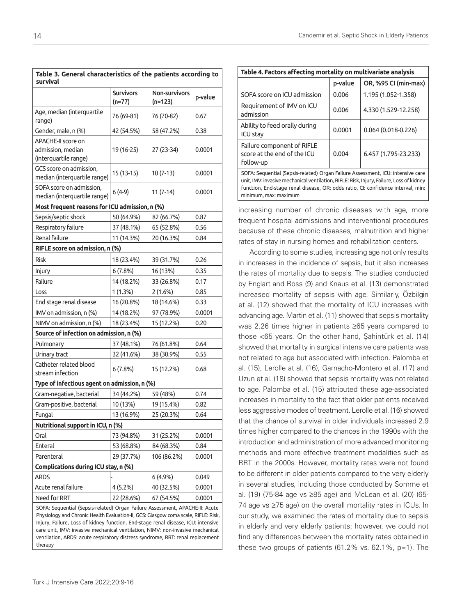| Table 3. General characteristics of the patients according to<br>survival                                                                                                                                                                                                                                                                                                                                                              |                            |                            |         |
|----------------------------------------------------------------------------------------------------------------------------------------------------------------------------------------------------------------------------------------------------------------------------------------------------------------------------------------------------------------------------------------------------------------------------------------|----------------------------|----------------------------|---------|
|                                                                                                                                                                                                                                                                                                                                                                                                                                        | <b>Survivors</b><br>(n=77) | Non-survivors<br>$(n=123)$ | p-value |
| Age, median (interquartile<br>range)                                                                                                                                                                                                                                                                                                                                                                                                   | 76 (69-81)                 | 76 (70-82)                 | 0.67    |
| Gender, male, n (%)                                                                                                                                                                                                                                                                                                                                                                                                                    | 42 (54.5%)                 | 58 (47.2%)                 | 0.38    |
| APACHE-II score on<br>admission, median<br>(interquartile range)                                                                                                                                                                                                                                                                                                                                                                       | 19 (16-25)                 | 27 (23-34)                 | 0.0001  |
| GCS score on admission,<br>median (interquartile range)                                                                                                                                                                                                                                                                                                                                                                                | $15(13-15)$                | 10 (7-13)                  | 0.0001  |
| SOFA score on admission,<br>median (interquartile range)                                                                                                                                                                                                                                                                                                                                                                               | $6(4-9)$                   | $11(7-14)$                 | 0.0001  |
| Most frequent reasons for ICU admission, n (%)                                                                                                                                                                                                                                                                                                                                                                                         |                            |                            |         |
| Sepsis/septic shock                                                                                                                                                                                                                                                                                                                                                                                                                    | 50 (64.9%)                 | 82 (66.7%)                 | 0.87    |
| Respiratory failure                                                                                                                                                                                                                                                                                                                                                                                                                    | 37 (48.1%)                 | 65 (52.8%)                 | 0.56    |
| Renal failure                                                                                                                                                                                                                                                                                                                                                                                                                          | 11 (14.3%)                 | 20 (16.3%)                 | 0.84    |
| RIFLE score on admission, n (%)                                                                                                                                                                                                                                                                                                                                                                                                        |                            |                            |         |
| <b>Risk</b>                                                                                                                                                                                                                                                                                                                                                                                                                            | 18 (23.4%)                 | 39 (31.7%)                 | 0.26    |
| Injury                                                                                                                                                                                                                                                                                                                                                                                                                                 | 6(7.8%)                    | 16 (13%)                   | 0.35    |
| Failure                                                                                                                                                                                                                                                                                                                                                                                                                                | 14 (18.2%)                 | 33 (26.8%)                 | 0.17    |
| Loss                                                                                                                                                                                                                                                                                                                                                                                                                                   | 1(1.3%)                    | $2(1.6\%)$                 | 0.85    |
| End stage renal disease                                                                                                                                                                                                                                                                                                                                                                                                                | 16 (20.8%)                 | 18 (14.6%)                 | 0.33    |
| IMV on admission, n (%)                                                                                                                                                                                                                                                                                                                                                                                                                | 14 (18.2%)                 | 97 (78.9%)                 | 0.0001  |
| NIMV on admission, n (%)                                                                                                                                                                                                                                                                                                                                                                                                               | 18 (23.4%)                 | 15 (12.2%)                 | 0.20    |
| Source of infection on admission, n (%)                                                                                                                                                                                                                                                                                                                                                                                                |                            |                            |         |
| Pulmonary                                                                                                                                                                                                                                                                                                                                                                                                                              | 37 (48.1%)                 | 76 (61.8%)                 | 0.64    |
| Urinary tract                                                                                                                                                                                                                                                                                                                                                                                                                          | 32 (41.6%)                 | 38 (30.9%)                 | 0.55    |
| Catheter related blood<br>stream infection                                                                                                                                                                                                                                                                                                                                                                                             | 6(7.8%)                    | 15 (12.2%)                 | 0.68    |
| Type of infectious agent on admission, n (%)                                                                                                                                                                                                                                                                                                                                                                                           |                            |                            |         |
| Gram-negative, bacterial                                                                                                                                                                                                                                                                                                                                                                                                               | 34 (44.2%)                 | 59 (48%)                   | 0.74    |
| Gram-positive, bacterial                                                                                                                                                                                                                                                                                                                                                                                                               | 10 (13%)                   | 19 (15.4%)                 | 0.82    |
| Fungal                                                                                                                                                                                                                                                                                                                                                                                                                                 | 13 (16.9%)                 | 25 (20.3%)                 | 0.64    |
| Nutritional support in ICU, n (%)                                                                                                                                                                                                                                                                                                                                                                                                      |                            |                            |         |
| Oral                                                                                                                                                                                                                                                                                                                                                                                                                                   | 73 (94.8%)                 | 31 (25.2%)                 | 0.0001  |
| Enteral                                                                                                                                                                                                                                                                                                                                                                                                                                | 53 (68.8%)                 | 84 (68.3%)                 | 0.84    |
| Parenteral                                                                                                                                                                                                                                                                                                                                                                                                                             | 29 (37.7%)                 | 106 (86.2%)                | 0.0001  |
| Complications during ICU stay, n (%)                                                                                                                                                                                                                                                                                                                                                                                                   |                            |                            |         |
| <b>ARDS</b>                                                                                                                                                                                                                                                                                                                                                                                                                            |                            | $6(4.9\%)$                 | 0.049   |
| Acute renal failure                                                                                                                                                                                                                                                                                                                                                                                                                    | 4(5.2%)                    | 40 (32.5%)                 | 0.0001  |
| Need for RRT                                                                                                                                                                                                                                                                                                                                                                                                                           | 22 (28.6%)                 | 67 (54.5%)                 | 0.0001  |
| SOFA: Sequential (Sepsis-related) Organ Failure Assessment, APACHE-II: Acute<br>Physiology and Chronic Health Evaluation-II, GCS: Glasgow coma scale, RIFLE: Risk,<br>Injury, Failure, Loss of kidney function, End-stage renal disease, ICU: intensive<br>care unit, IMV: invasive mechanical ventilation, NIMV: non-invasive mechanical<br>ventilation, ARDS: acute respiratory distress syndrome, RRT: renal replacement<br>therapy |                            |                            |         |

| Table 4. Factors affecting mortality on multivariate analysis                                                                                                                                                                                                                            |         |                      |  |
|------------------------------------------------------------------------------------------------------------------------------------------------------------------------------------------------------------------------------------------------------------------------------------------|---------|----------------------|--|
|                                                                                                                                                                                                                                                                                          | p-value | OR, %95 CI (min-max) |  |
| SOFA score on ICU admission                                                                                                                                                                                                                                                              | 0.006   | 1.195 (1.052-1.358)  |  |
| Requirement of IMV on ICU<br>admission                                                                                                                                                                                                                                                   | 0.006   | 4.330 (1.529-12.258) |  |
| Ability to feed orally during<br><b>ICU stay</b>                                                                                                                                                                                                                                         | 0.0001  | $0.064(0.018-0.226)$ |  |
| Failure component of RIFLE<br>score at the end of the ICU<br>follow-up                                                                                                                                                                                                                   | 0.004   | 6.457 (1.795-23.233) |  |
| SOFA: Sequential (Sepsis-related) Organ Failure Assessment, ICU: intensive care<br>unit, IMV: invasive mechanical ventilation, RIFLE: Risk, Injury, Failure, Loss of kidney<br>function, End-stage renal disease, OR: odds ratio, CI: confidence interval, min:<br>minimum, max: maximum |         |                      |  |

increasing number of chronic diseases with age, more frequent hospital admissions and interventional procedures because of these chronic diseases, malnutrition and higher rates of stay in nursing homes and rehabilitation centers.

According to some studies, increasing age not only results in increases in the incidence of sepsis, but it also increases the rates of mortality due to sepsis. The studies conducted by Englart and Ross (9) and Knaus et al. (13) demonstrated increased mortality of sepsis with age. Similarly, Özbilgin et al. (12) showed that the mortality of ICU increases with advancing age. Martin et al. (11) showed that sepsis mortality was 2.26 times higher in patients ≥65 years compared to those <65 years. On the other hand, Şahintürk et al. (14) showed that mortality in surgical intensive care patients was not related to age but associated with infection. Palomba et al. (15), Lerolle at al. (16), Garnacho-Montero et al. (17) and Uzun et al. (18) showed that sepsis mortality was not related to age. Palomba et al. (15) attributed these age-associated increases in mortality to the fact that older patients received less aggressive modes of treatment. Lerolle et al. (16) showed that the chance of survival in older individuals increased 2.9 times higher compared to the chances in the 1990s with the introduction and administration of more advanced monitoring methods and more effective treatment modalities such as RRT in the 2000s. However, mortality rates were not found to be different in older patients compared to the very elderly in several studies, including those conducted by Somme et al. (19) (75-84 age vs ≥85 age) and McLean et al. (20) (65- 74 age vs ≥75 age) on the overall mortality rates in ICUs. In our study, we examined the rates of mortality due to sepsis in elderly and very elderly patients; however, we could not find any differences between the mortality rates obtained in these two groups of patients (61.2% vs. 62.1%, p=1). The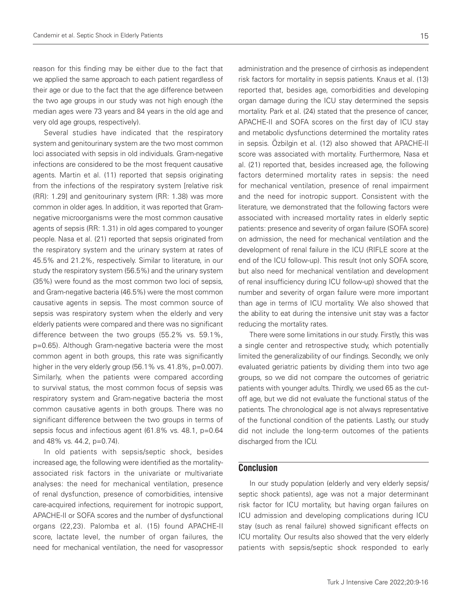reason for this finding may be either due to the fact that we applied the same approach to each patient regardless of their age or due to the fact that the age difference between the two age groups in our study was not high enough (the median ages were 73 years and 84 years in the old age and very old age groups, respectively).

Several studies have indicated that the respiratory system and genitourinary system are the two most common loci associated with sepsis in old individuals. Gram-negative infections are considered to be the most frequent causative agents. Martin et al. (11) reported that sepsis originating from the infections of the respiratory system [relative risk (RR): 1.29] and genitourinary system (RR: 1.38) was more common in older ages. In addition, it was reported that Gramnegative microorganisms were the most common causative agents of sepsis (RR: 1.31) in old ages compared to younger people. Nasa et al. (21) reported that sepsis originated from the respiratory system and the urinary system at rates of 45.5% and 21.2%, respectively. Similar to literature, in our study the respiratory system (56.5%) and the urinary system (35%) were found as the most common two loci of sepsis, and Gram-negative bacteria (46.5%) were the most common causative agents in sepsis. The most common source of sepsis was respiratory system when the elderly and very elderly patients were compared and there was no significant difference between the two groups (55.2% vs. 59.1%, p=0.65). Although Gram-negative bacteria were the most common agent in both groups, this rate was significantly higher in the very elderly group (56.1% vs. 41.8%, p=0.007). Similarly, when the patients were compared according to survival status, the most common focus of sepsis was respiratory system and Gram-negative bacteria the most common causative agents in both groups. There was no significant difference between the two groups in terms of sepsis focus and infectious agent (61.8% vs. 48.1, p=0.64 and 48% vs. 44.2, p=0.74).

In old patients with sepsis/septic shock, besides increased age, the following were identified as the mortalityassociated risk factors in the univariate or multivariate analyses: the need for mechanical ventilation, presence of renal dysfunction, presence of comorbidities, intensive care-acquired infections, requirement for inotropic support, APACHE-II or SOFA scores and the number of dysfunctional organs (22,23). Palomba et al. (15) found APACHE-II score, lactate level, the number of organ failures, the need for mechanical ventilation, the need for vasopressor

administration and the presence of cirrhosis as independent risk factors for mortality in sepsis patients. Knaus et al. (13) reported that, besides age, comorbidities and developing organ damage during the ICU stay determined the sepsis mortality. Park et al. (24) stated that the presence of cancer, APACHE-II and SOFA scores on the first day of ICU stay and metabolic dysfunctions determined the mortality rates in sepsis. Özbilgin et al. (12) also showed that APACHE-II score was associated with mortality. Furthermore, Nasa et al. (21) reported that, besides increased age, the following factors determined mortality rates in sepsis: the need for mechanical ventilation, presence of renal impairment and the need for inotropic support. Consistent with the literature, we demonstrated that the following factors were associated with increased mortality rates in elderly septic patients: presence and severity of organ failure (SOFA score) on admission, the need for mechanical ventilation and the development of renal failure in the ICU (RIFLE score at the end of the ICU follow-up). This result (not only SOFA score, but also need for mechanical ventilation and development of renal insufficiency during ICU follow-up) showed that the number and severity of organ failure were more important than age in terms of ICU mortality. We also showed that the ability to eat during the intensive unit stay was a factor reducing the mortality rates.

There were some limitations in our study. Firstly, this was a single center and retrospective study, which potentially limited the generalizability of our findings. Secondly, we only evaluated geriatric patients by dividing them into two age groups, so we did not compare the outcomes of geriatric patients with younger adults. Thirdly, we used 65 as the cutoff age, but we did not evaluate the functional status of the patients. The chronological age is not always representative of the functional condition of the patients. Lastly, our study did not include the long-term outcomes of the patients discharged from the ICU.

## **Conclusion**

In our study population (elderly and very elderly sepsis/ septic shock patients), age was not a major determinant risk factor for ICU mortality, but having organ failures on ICU admission and developing complications during ICU stay (such as renal failure) showed significant effects on ICU mortality. Our results also showed that the very elderly patients with sepsis/septic shock responded to early